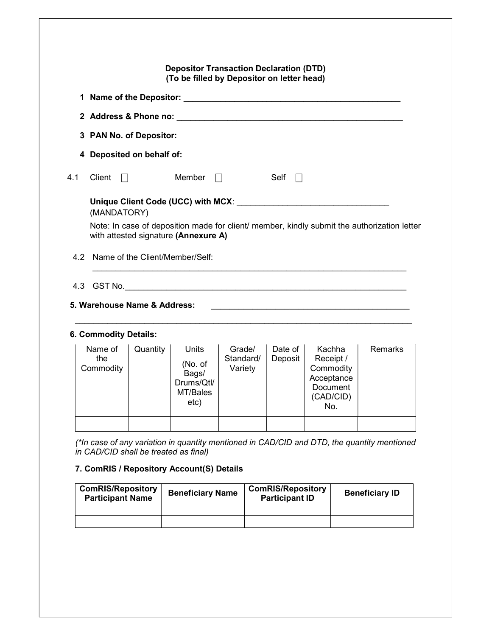| Note: In case of deposition made for client/ member, kindly submit the authorization letter |
|---------------------------------------------------------------------------------------------|
|                                                                                             |
|                                                                                             |

# 6. Commodity Details:

| Name of<br>the<br>Commodity | Quantity | Units<br>(No. of<br>Bags/<br>Drums/Qtl/<br>MT/Bales<br>etc) | Grade/<br>Standard/<br>Variety | Date of<br>Deposit | Kachha<br>Receipt /<br>Commodity<br>Acceptance<br>Document<br>(CAD/CID)<br>No. | <b>Remarks</b> |
|-----------------------------|----------|-------------------------------------------------------------|--------------------------------|--------------------|--------------------------------------------------------------------------------|----------------|
|                             |          |                                                             |                                |                    |                                                                                |                |

(\*In case of any variation in quantity mentioned in CAD/CID and DTD, the quantity mentioned in CAD/CID shall be treated as final)

## 7. ComRIS / Repository Account(S) Details

| <b>ComRIS/Repository</b><br><b>Participant Name</b> | <b>Beneficiary Name</b> | <b>ComRIS/Repository</b><br><b>Participant ID</b> | <b>Beneficiary ID</b> |
|-----------------------------------------------------|-------------------------|---------------------------------------------------|-----------------------|
|                                                     |                         |                                                   |                       |
|                                                     |                         |                                                   |                       |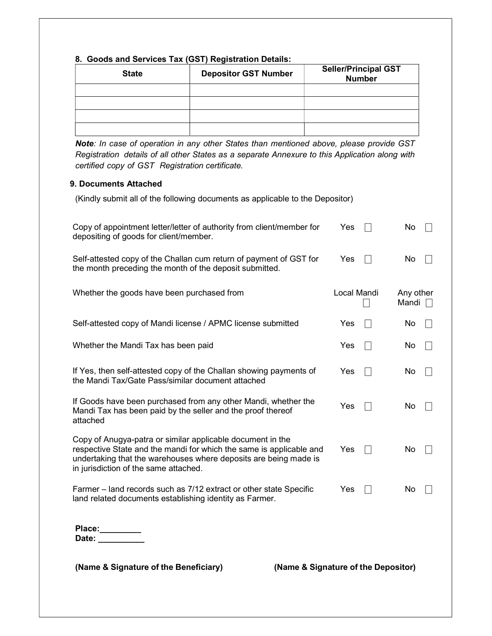| 8. Goods and Services Tax (GST) Registration Details: |                             |                                              |  |  |
|-------------------------------------------------------|-----------------------------|----------------------------------------------|--|--|
| <b>State</b>                                          | <b>Depositor GST Number</b> | <b>Seller/Principal GST</b><br><b>Number</b> |  |  |
|                                                       |                             |                                              |  |  |
|                                                       |                             |                                              |  |  |
|                                                       |                             |                                              |  |  |
|                                                       |                             |                                              |  |  |

Note: In case of operation in any other States than mentioned above, please provide GST Registration details of all other States as a separate Annexure to this Application along with certified copy of GST Registration certificate.

#### 9. Documents Attached

| (Kindly submit all of the following documents as applicable to the Depositor) |  |
|-------------------------------------------------------------------------------|--|
|                                                                               |  |

| Copy of appointment letter/letter of authority from client/member for<br>depositing of goods for client/member.                                                                                                                                | Yes         | No                        |
|------------------------------------------------------------------------------------------------------------------------------------------------------------------------------------------------------------------------------------------------|-------------|---------------------------|
| Self-attested copy of the Challan cum return of payment of GST for<br>the month preceding the month of the deposit submitted.                                                                                                                  | Yes         | No.                       |
| Whether the goods have been purchased from                                                                                                                                                                                                     | Local Mandi | Any other<br>Mandi $\Box$ |
| Self-attested copy of Mandi license / APMC license submitted                                                                                                                                                                                   | Yes         | No.                       |
| Whether the Mandi Tax has been paid                                                                                                                                                                                                            | Yes         | No                        |
| If Yes, then self-attested copy of the Challan showing payments of<br>the Mandi Tax/Gate Pass/similar document attached                                                                                                                        | Yes         | No                        |
| If Goods have been purchased from any other Mandi, whether the<br>Mandi Tax has been paid by the seller and the proof thereof<br>attached                                                                                                      | Yes         | No                        |
| Copy of Anugya-patra or similar applicable document in the<br>respective State and the mandi for which the same is applicable and<br>undertaking that the warehouses where deposits are being made is<br>in jurisdiction of the same attached. | Yes         | No                        |
| Farmer – land records such as 7/12 extract or other state Specific<br>land related documents establishing identity as Farmer.                                                                                                                  | Yes         | No                        |
| Place:<br>Date:                                                                                                                                                                                                                                |             |                           |

(Name & Signature of the Beneficiary) (Name & Signature of the Depositor)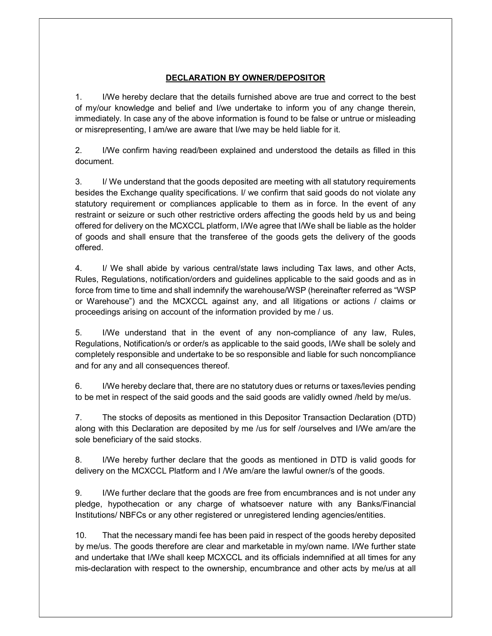### DECLARATION BY OWNER/DEPOSITOR

1. I/We hereby declare that the details furnished above are true and correct to the best of my/our knowledge and belief and I/we undertake to inform you of any change therein, immediately. In case any of the above information is found to be false or untrue or misleading or misrepresenting, I am/we are aware that I/we may be held liable for it.

2. I/We confirm having read/been explained and understood the details as filled in this document.

3. I/ We understand that the goods deposited are meeting with all statutory requirements besides the Exchange quality specifications. I/ we confirm that said goods do not violate any statutory requirement or compliances applicable to them as in force. In the event of any restraint or seizure or such other restrictive orders affecting the goods held by us and being offered for delivery on the MCXCCL platform, I/We agree that I/We shall be liable as the holder of goods and shall ensure that the transferee of the goods gets the delivery of the goods offered.

4. I/ We shall abide by various central/state laws including Tax laws, and other Acts, Rules, Regulations, notification/orders and guidelines applicable to the said goods and as in force from time to time and shall indemnify the warehouse/WSP (hereinafter referred as "WSP or Warehouse") and the MCXCCL against any, and all litigations or actions / claims or proceedings arising on account of the information provided by me / us.

5. I/We understand that in the event of any non-compliance of any law, Rules, Regulations, Notification/s or order/s as applicable to the said goods, I/We shall be solely and completely responsible and undertake to be so responsible and liable for such noncompliance and for any and all consequences thereof.

6. I/We hereby declare that, there are no statutory dues or returns or taxes/levies pending to be met in respect of the said goods and the said goods are validly owned /held by me/us.

7. The stocks of deposits as mentioned in this Depositor Transaction Declaration (DTD) along with this Declaration are deposited by me /us for self /ourselves and I/We am/are the sole beneficiary of the said stocks.

8. I/We hereby further declare that the goods as mentioned in DTD is valid goods for delivery on the MCXCCL Platform and I /We am/are the lawful owner/s of the goods.

9. I/We further declare that the goods are free from encumbrances and is not under any pledge, hypothecation or any charge of whatsoever nature with any Banks/Financial Institutions/ NBFCs or any other registered or unregistered lending agencies/entities.

10. That the necessary mandi fee has been paid in respect of the goods hereby deposited by me/us. The goods therefore are clear and marketable in my/own name. I/We further state and undertake that I/We shall keep MCXCCL and its officials indemnified at all times for any mis-declaration with respect to the ownership, encumbrance and other acts by me/us at all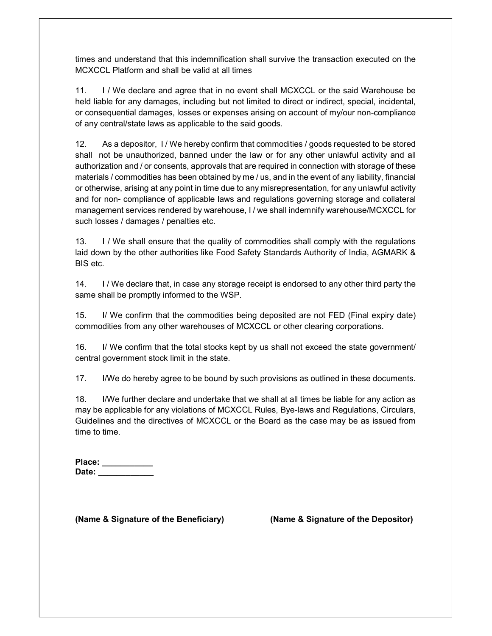times and understand that this indemnification shall survive the transaction executed on the MCXCCL Platform and shall be valid at all times

11. I / We declare and agree that in no event shall MCXCCL or the said Warehouse be held liable for any damages, including but not limited to direct or indirect, special, incidental, or consequential damages, losses or expenses arising on account of my/our non-compliance of any central/state laws as applicable to the said goods.

12. As a depositor, I / We hereby confirm that commodities / goods requested to be stored shall not be unauthorized, banned under the law or for any other unlawful activity and all authorization and / or consents, approvals that are required in connection with storage of these materials / commodities has been obtained by me / us, and in the event of any liability, financial or otherwise, arising at any point in time due to any misrepresentation, for any unlawful activity and for non- compliance of applicable laws and regulations governing storage and collateral management services rendered by warehouse, I / we shall indemnify warehouse/MCXCCL for such losses / damages / penalties etc.

13. I / We shall ensure that the quality of commodities shall comply with the regulations laid down by the other authorities like Food Safety Standards Authority of India, AGMARK & BIS etc.

14. I / We declare that, in case any storage receipt is endorsed to any other third party the same shall be promptly informed to the WSP.

15. I/ We confirm that the commodities being deposited are not FED (Final expiry date) commodities from any other warehouses of MCXCCL or other clearing corporations.

16. I/ We confirm that the total stocks kept by us shall not exceed the state government/ central government stock limit in the state.

17. I/We do hereby agree to be bound by such provisions as outlined in these documents.

18. I/We further declare and undertake that we shall at all times be liable for any action as may be applicable for any violations of MCXCCL Rules, Bye-laws and Regulations, Circulars, Guidelines and the directives of MCXCCL or the Board as the case may be as issued from time to time.

| Place: |  |  |  |
|--------|--|--|--|
| Date:  |  |  |  |

(Name & Signature of the Beneficiary) (Name & Signature of the Depositor)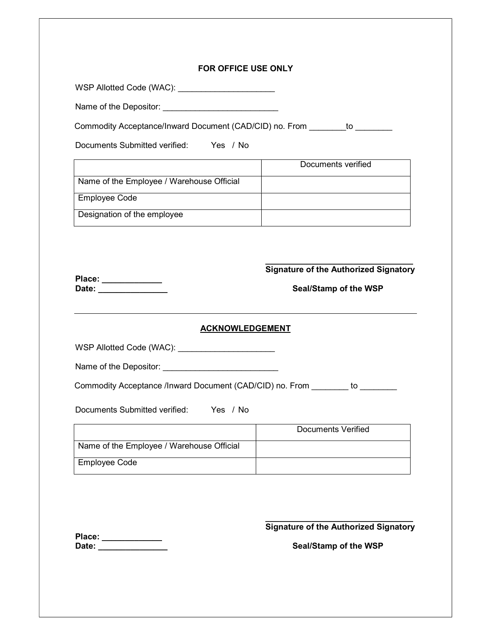#### FOR OFFICE USE ONLY

WSP Allotted Code (WAC): \_\_\_\_\_\_\_\_\_\_\_\_\_\_\_\_\_\_\_\_\_\_\_\_

Name of the Depositor: \_\_\_\_\_\_\_\_\_\_\_\_\_\_\_\_\_\_\_\_\_\_\_\_\_\_\_

Commodity Acceptance/Inward Document (CAD/CID) no. From to

Documents Submitted verified: Yes / No

|                                           | Documents verified |
|-------------------------------------------|--------------------|
| Name of the Employee / Warehouse Official |                    |
| <b>Employee Code</b>                      |                    |
| Designation of the employee               |                    |

 $\_$ Signature of the Authorized Signatory

Place: \_\_\_\_\_\_\_\_\_\_\_\_\_ Date: \_\_\_\_\_\_\_\_\_\_\_\_\_\_\_ Seal/Stamp of the WSP

#### ACKNOWLEDGEMENT

WSP Allotted Code (WAC): \_\_\_\_\_\_\_\_\_\_\_\_\_\_\_\_\_\_\_\_\_\_\_\_

Name of the Depositor: \_\_\_\_\_\_\_\_\_\_\_\_\_\_\_\_\_\_\_\_\_\_\_\_\_

Commodity Acceptance /Inward Document (CAD/CID) no. From \_\_\_\_\_\_\_ to \_\_\_\_\_\_\_\_

Documents Submitted verified: Yes / No

|                                           | Documents Verified |
|-------------------------------------------|--------------------|
| Name of the Employee / Warehouse Official |                    |
| <b>Employee Code</b>                      |                    |

\_\_\_\_\_\_\_\_\_\_\_\_\_\_\_\_\_\_\_\_\_\_\_\_\_\_\_\_\_\_\_\_ Signature of the Authorized Signatory

Place: \_\_\_\_\_\_\_\_\_\_\_\_\_ Date: \_\_\_\_\_\_\_\_\_\_\_\_\_\_\_ Seal/Stamp of the WSP